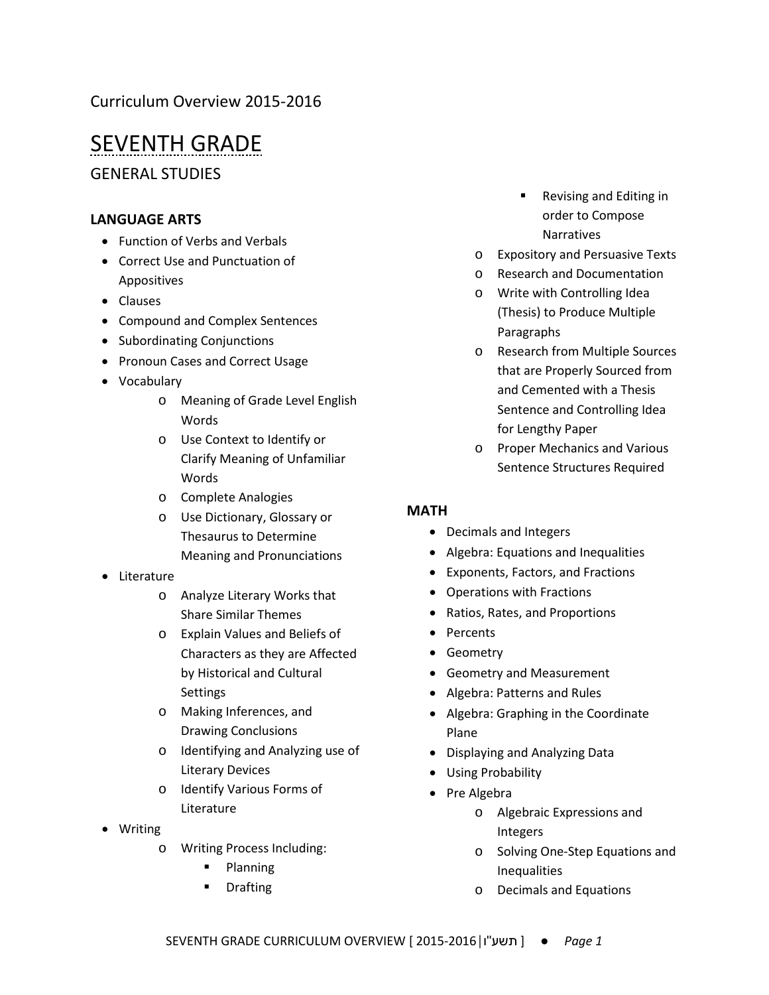## Curriculum Overview 2015-2016

# SEVENTH GRADE

GENERAL STUDIES

## **LANGUAGE ARTS**

- Function of Verbs and Verbals
- Correct Use and Punctuation of Appositives
- Clauses
- Compound and Complex Sentences
- Subordinating Conjunctions
- Pronoun Cases and Correct Usage
- Vocabulary
	- o Meaning of Grade Level English Words
	- o Use Context to Identify or Clarify Meaning of Unfamiliar Words
	- o Complete Analogies
	- o Use Dictionary, Glossary or Thesaurus to Determine Meaning and Pronunciations
- Literature
	- o Analyze Literary Works that Share Similar Themes
	- o Explain Values and Beliefs of Characters as they are Affected by Historical and Cultural **Settings**
	- o Making Inferences, and Drawing Conclusions
	- o Identifying and Analyzing use of Literary Devices
	- o Identify Various Forms of Literature
- Writing
	- o Writing Process Including:
		- **Planning**
		- **•** Drafting
- Revising and Editing in order to Compose Narratives
- o Expository and Persuasive Texts
- o Research and Documentation
- o Write with Controlling Idea (Thesis) to Produce Multiple Paragraphs
- o Research from Multiple Sources that are Properly Sourced from and Cemented with a Thesis Sentence and Controlling Idea for Lengthy Paper
- o Proper Mechanics and Various Sentence Structures Required

## **MATH**

- Decimals and Integers
- Algebra: Equations and Inequalities
- Exponents, Factors, and Fractions
- Operations with Fractions
- Ratios, Rates, and Proportions
- Percents
- Geometry
- Geometry and Measurement
- Algebra: Patterns and Rules
- Algebra: Graphing in the Coordinate Plane
- Displaying and Analyzing Data
- Using Probability
- Pre Algebra
	- o Algebraic Expressions and Integers
	- o Solving One-Step Equations and Inequalities
	- o Decimals and Equations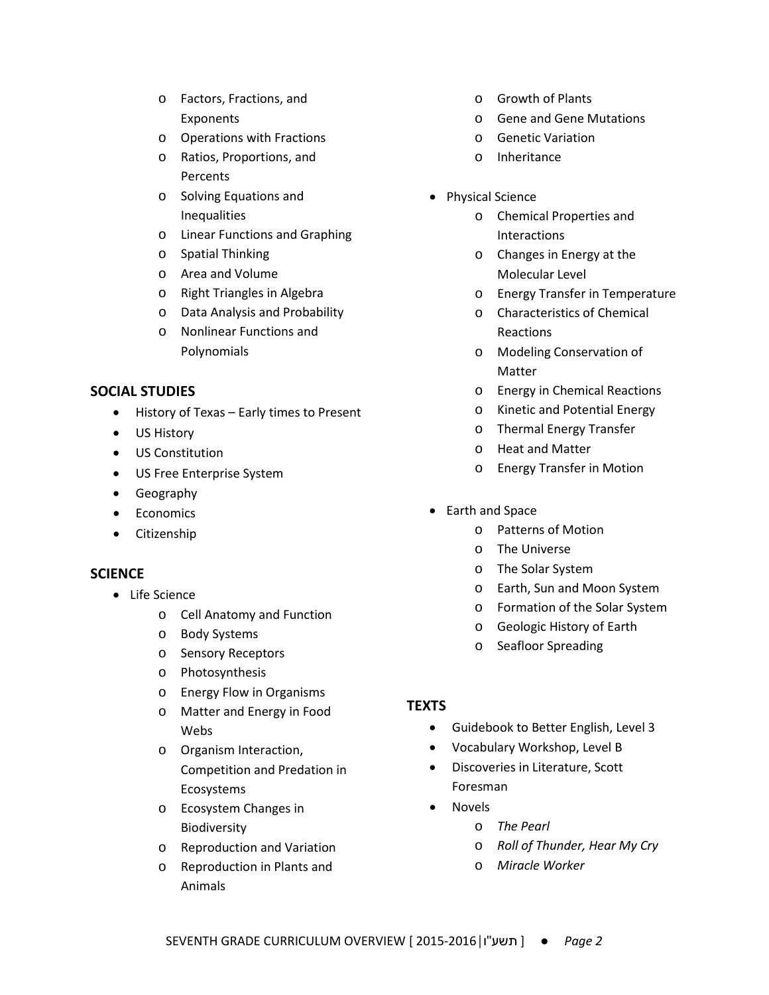- o Factors, Fractions, and Exponents
- o Operations with Fractions
- o Ratios, Proportions, and **Percents**
- o Solving Equations and Inequalities
- o Linear Functions and Graphing
- o Spatial Thinking
- o Area and Volume
- o Right Triangles in Algebra
- o Data Analysis and Probability
- o Nonlinear Functions and Polynomials

#### **SOCIAL STUDIES**

- History of Texas Early times to Present
- US History
- US Constitution
- US Free Enterprise System
- Geography
- Economics
- Citizenship

### **SCIENCE**

- Life Science
	- o Cell Anatomy and Function
	- o Body Systems
	- o Sensory Receptors
	- o Photosynthesis
	- o Energy Flow in Organisms
	- o Matter and Energy in Food Webs
	- o Organism Interaction, Competition and Predation in Ecosystems
	- o Ecosystem Changes in Biodiversity
	- o Reproduction and Variation
	- o Reproduction in Plants and Animals
- o Growth of Plants
- o Gene and Gene Mutations
- o Genetic Variation
- o Inheritance
- Physical Science
	- o Chemical Properties and Interactions
	- o Changes in Energy at the Molecular Level
	- o Energy Transfer in Temperature
	- o Characteristics of Chemical Reactions
	- o Modeling Conservation of Matter
	- o Energy in Chemical Reactions
	- o Kinetic and Potential Energy
	- o Thermal Energy Transfer
	- o Heat and Matter
	- o Energy Transfer in Motion
- Earth and Space
	- o Patterns of Motion
	- o The Universe
	- o The Solar System
	- o Earth, Sun and Moon System
	- o Formation of the Solar System
	- o Geologic History of Earth
	- o Seafloor Spreading

#### **TEXTS**

- Guidebook to Better English, Level 3
- Vocabulary Workshop, Level B
- Discoveries in Literature, Scott Foresman
- Novels
	- o *The Pearl*
	- o *Roll of Thunder, Hear My Cry*
	- o *Miracle Worker*